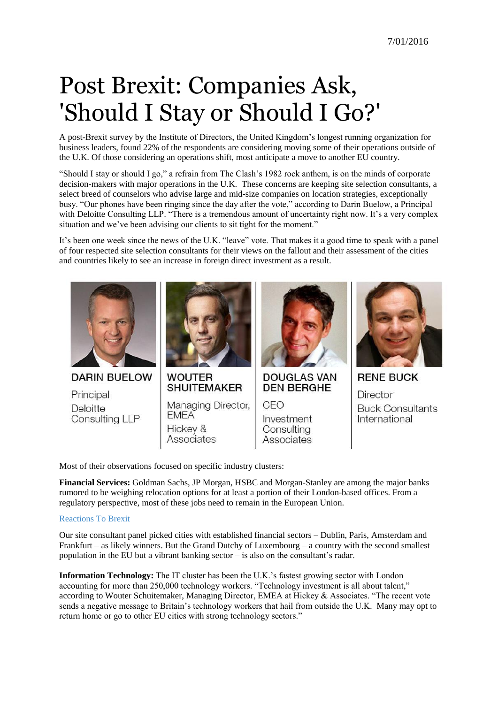## Post Brexit: Companies Ask, 'Should I Stay or Should I Go?'

A post-Brexit survey by the Institute of Directors, the United Kingdom's longest running organization for business leaders, found 22% of the respondents are considering moving some of their operations outside of the U.K. Of those considering an operations shift, most anticipate a move to another EU country.

"Should I stay or should I go," a refrain from The Clash's 1982 rock anthem, is on the minds of corporate decision-makers with major operations in the U.K. These concerns are keeping site selection consultants, a select breed of counselors who advise large and mid-size companies on location strategies, exceptionally busy. "Our phones have been ringing since the day after the vote," according to Darin Buelow, a Principal with Deloitte Consulting LLP. "There is a tremendous amount of uncertainty right now. It's a very complex situation and we've been advising our clients to sit tight for the moment."

It's been one week since the news of the U.K. "leave" vote. That makes it a good time to speak with a panel of four respected site selection consultants for their views on the fallout and their assessment of the cities and countries likely to see an increase in foreign direct investment as a result.



Most of their observations focused on specific industry clusters:

**Financial Services:** Goldman Sachs, JP Morgan, HSBC and Morgan-Stanley are among the major banks rumored to be weighing relocation options for at least a portion of their London-based offices. From a regulatory perspective, most of these jobs need to remain in the European Union.

## [Reactions To Brexit](http://www.forbes.com/pictures/gifl45hdi/britain-backs-brexit/)

Our site consultant panel picked cities with established financial sectors – Dublin, Paris, Amsterdam and Frankfurt – as likely winners. But the Grand Dutchy of Luxembourg – a country with the second smallest population in the EU but a vibrant banking sector – is also on the consultant's radar.

**Information Technology:** The IT cluster has been the U.K.'s fastest growing sector with London accounting for more than 250,000 technology workers. "Technology investment is all about talent," according to Wouter Schuitemaker, Managing Director, EMEA at Hickey & Associates. "The recent vote sends a negative message to Britain's technology workers that hail from outside the U.K. Many may opt to return home or go to other EU cities with strong technology sectors."